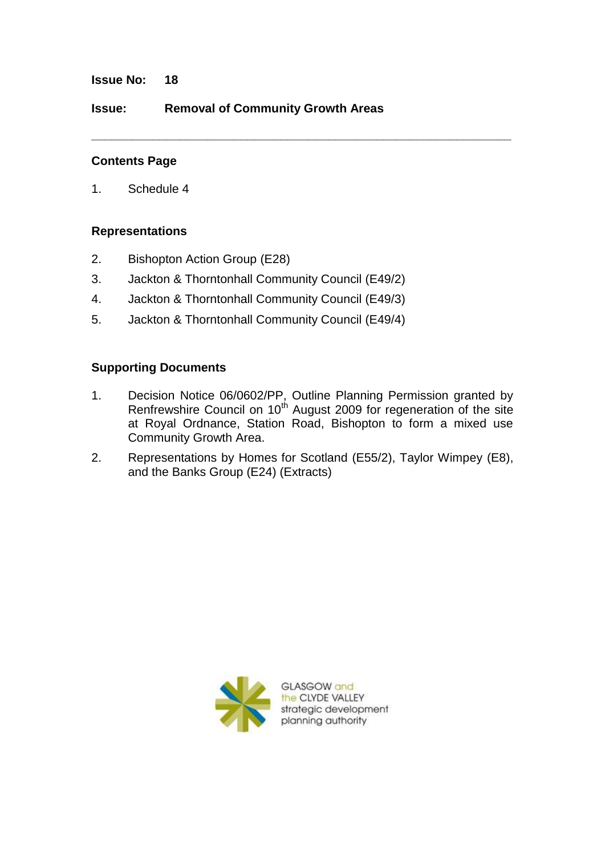**Issue No: 18**

**Issue: Removal of Community Growth Areas**

## **Contents Page**

1. Schedule 4

## **Representations**

- 2. Bishopton Action Group (E28)
- 3. Jackton & Thorntonhall Community Council (E49/2)
- 4. Jackton & Thorntonhall Community Council (E49/3)
- 5. Jackton & Thorntonhall Community Council (E49/4)

# **Supporting Documents**

1. Decision Notice 06/0602/PP, Outline Planning Permission granted by Renfrewshire Council on 10<sup>th</sup> August 2009 for regeneration of the site at Royal Ordnance, Station Road, Bishopton to form a mixed use Community Growth Area.

**\_\_\_\_\_\_\_\_\_\_\_\_\_\_\_\_\_\_\_\_\_\_\_\_\_\_\_\_\_\_\_\_\_\_\_\_\_\_\_\_\_\_\_\_\_\_\_\_\_\_\_\_\_\_\_\_\_\_\_\_\_\_**

2. Representations by Homes for Scotland (E55/2), Taylor Wimpey (E8), and the Banks Group (E24) (Extracts)



**GLASGOW and** the CLYDE VALLEY strategic development planning authority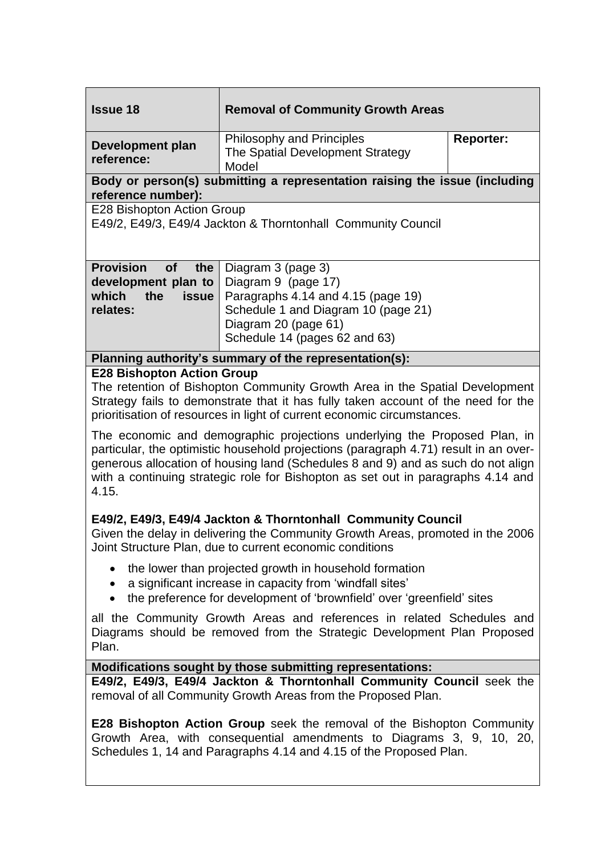| <b>Issue 18</b>                                                                                                                                                                                                                                                                                                                                                                                                                                                                                                                                                                                                                        | <b>Removal of Community Growth Areas</b>                                                                                                                                        |                  |
|----------------------------------------------------------------------------------------------------------------------------------------------------------------------------------------------------------------------------------------------------------------------------------------------------------------------------------------------------------------------------------------------------------------------------------------------------------------------------------------------------------------------------------------------------------------------------------------------------------------------------------------|---------------------------------------------------------------------------------------------------------------------------------------------------------------------------------|------------------|
| <b>Development plan</b><br>reference:                                                                                                                                                                                                                                                                                                                                                                                                                                                                                                                                                                                                  | Philosophy and Principles<br>The Spatial Development Strategy<br>Model                                                                                                          | <b>Reporter:</b> |
| Body or person(s) submitting a representation raising the issue (including<br>reference number):                                                                                                                                                                                                                                                                                                                                                                                                                                                                                                                                       |                                                                                                                                                                                 |                  |
| E28 Bishopton Action Group<br>E49/2, E49/3, E49/4 Jackton & Thorntonhall Community Council                                                                                                                                                                                                                                                                                                                                                                                                                                                                                                                                             |                                                                                                                                                                                 |                  |
| <b>Provision</b><br>of<br>the<br>development plan to<br>which<br>the<br><b>issue</b><br>relates:                                                                                                                                                                                                                                                                                                                                                                                                                                                                                                                                       | Diagram 3 (page 3)<br>Diagram 9 (page 17)<br>Paragraphs 4.14 and 4.15 (page 19)<br>Schedule 1 and Diagram 10 (page 21)<br>Diagram 20 (page 61)<br>Schedule 14 (pages 62 and 63) |                  |
| Planning authority's summary of the representation(s):                                                                                                                                                                                                                                                                                                                                                                                                                                                                                                                                                                                 |                                                                                                                                                                                 |                  |
| <b>E28 Bishopton Action Group</b><br>The retention of Bishopton Community Growth Area in the Spatial Development<br>Strategy fails to demonstrate that it has fully taken account of the need for the<br>prioritisation of resources in light of current economic circumstances.<br>The economic and demographic projections underlying the Proposed Plan, in<br>particular, the optimistic household projections (paragraph 4.71) result in an over-<br>generous allocation of housing land (Schedules 8 and 9) and as such do not align<br>with a continuing strategic role for Bishopton as set out in paragraphs 4.14 and<br>4.15. |                                                                                                                                                                                 |                  |
| E49/2, E49/3, E49/4 Jackton & Thorntonhall Community Council<br>Given the delay in delivering the Community Growth Areas, promoted in the 2006<br>Joint Structure Plan, due to current economic conditions                                                                                                                                                                                                                                                                                                                                                                                                                             |                                                                                                                                                                                 |                  |
| the lower than projected growth in household formation<br>a significant increase in capacity from 'windfall sites'<br>the preference for development of 'brownfield' over 'greenfield' sites                                                                                                                                                                                                                                                                                                                                                                                                                                           |                                                                                                                                                                                 |                  |
| all the Community Growth Areas and references in related Schedules and<br>Diagrams should be removed from the Strategic Development Plan Proposed<br>Plan.                                                                                                                                                                                                                                                                                                                                                                                                                                                                             |                                                                                                                                                                                 |                  |
| Modifications sought by those submitting representations:                                                                                                                                                                                                                                                                                                                                                                                                                                                                                                                                                                              |                                                                                                                                                                                 |                  |
| E49/2, E49/3, E49/4 Jackton & Thorntonhall Community Council seek the<br>removal of all Community Growth Areas from the Proposed Plan.                                                                                                                                                                                                                                                                                                                                                                                                                                                                                                 |                                                                                                                                                                                 |                  |
| <b>E28 Bishopton Action Group</b> seek the removal of the Bishopton Community<br>Growth Area, with consequential amendments to Diagrams 3, 9, 10, 20,<br>Schedules 1, 14 and Paragraphs 4.14 and 4.15 of the Proposed Plan.                                                                                                                                                                                                                                                                                                                                                                                                            |                                                                                                                                                                                 |                  |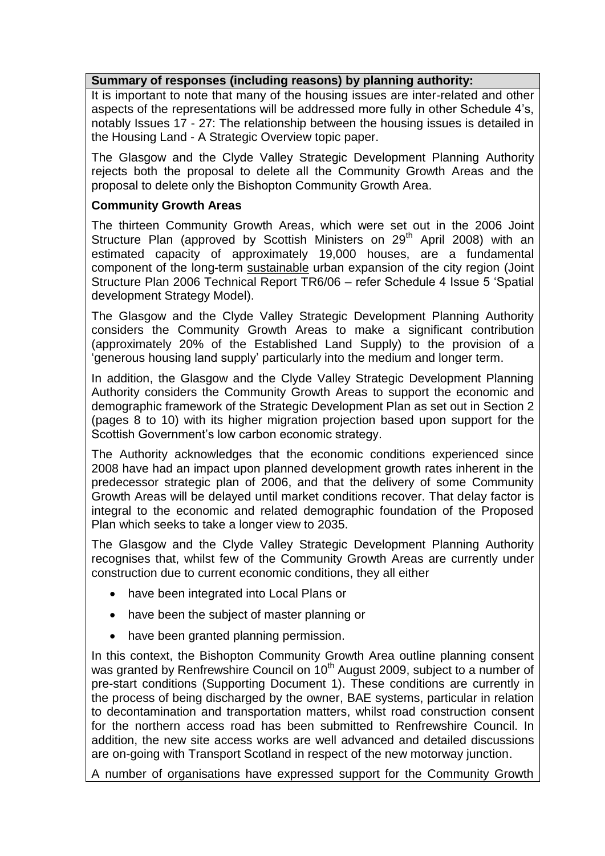#### **Summary of responses (including reasons) by planning authority:**

It is important to note that many of the housing issues are inter-related and other aspects of the representations will be addressed more fully in other Schedule 4's, notably Issues 17 - 27: The relationship between the housing issues is detailed in the Housing Land - A Strategic Overview topic paper.

The Glasgow and the Clyde Valley Strategic Development Planning Authority rejects both the proposal to delete all the Community Growth Areas and the proposal to delete only the Bishopton Community Growth Area.

## **Community Growth Areas**

The thirteen Community Growth Areas, which were set out in the 2006 Joint Structure Plan (approved by Scottish Ministers on 29<sup>th</sup> April 2008) with an estimated capacity of approximately 19,000 houses, are a fundamental component of the long-term sustainable urban expansion of the city region (Joint Structure Plan 2006 Technical Report TR6/06 – refer Schedule 4 Issue 5 'Spatial development Strategy Model).

The Glasgow and the Clyde Valley Strategic Development Planning Authority considers the Community Growth Areas to make a significant contribution (approximately 20% of the Established Land Supply) to the provision of a 'generous housing land supply' particularly into the medium and longer term.

In addition, the Glasgow and the Clyde Valley Strategic Development Planning Authority considers the Community Growth Areas to support the economic and demographic framework of the Strategic Development Plan as set out in Section 2 (pages 8 to 10) with its higher migration projection based upon support for the Scottish Government's low carbon economic strategy.

The Authority acknowledges that the economic conditions experienced since 2008 have had an impact upon planned development growth rates inherent in the predecessor strategic plan of 2006, and that the delivery of some Community Growth Areas will be delayed until market conditions recover. That delay factor is integral to the economic and related demographic foundation of the Proposed Plan which seeks to take a longer view to 2035.

The Glasgow and the Clyde Valley Strategic Development Planning Authority recognises that, whilst few of the Community Growth Areas are currently under construction due to current economic conditions, they all either

- have been integrated into Local Plans or
- have been the subject of master planning or
- have been granted planning permission.

In this context, the Bishopton Community Growth Area outline planning consent was granted by Renfrewshire Council on 10<sup>th</sup> August 2009, subject to a number of pre-start conditions (Supporting Document 1). These conditions are currently in the process of being discharged by the owner, BAE systems, particular in relation to decontamination and transportation matters, whilst road construction consent for the northern access road has been submitted to Renfrewshire Council. In addition, the new site access works are well advanced and detailed discussions are on-going with Transport Scotland in respect of the new motorway junction.

A number of organisations have expressed support for the Community Growth